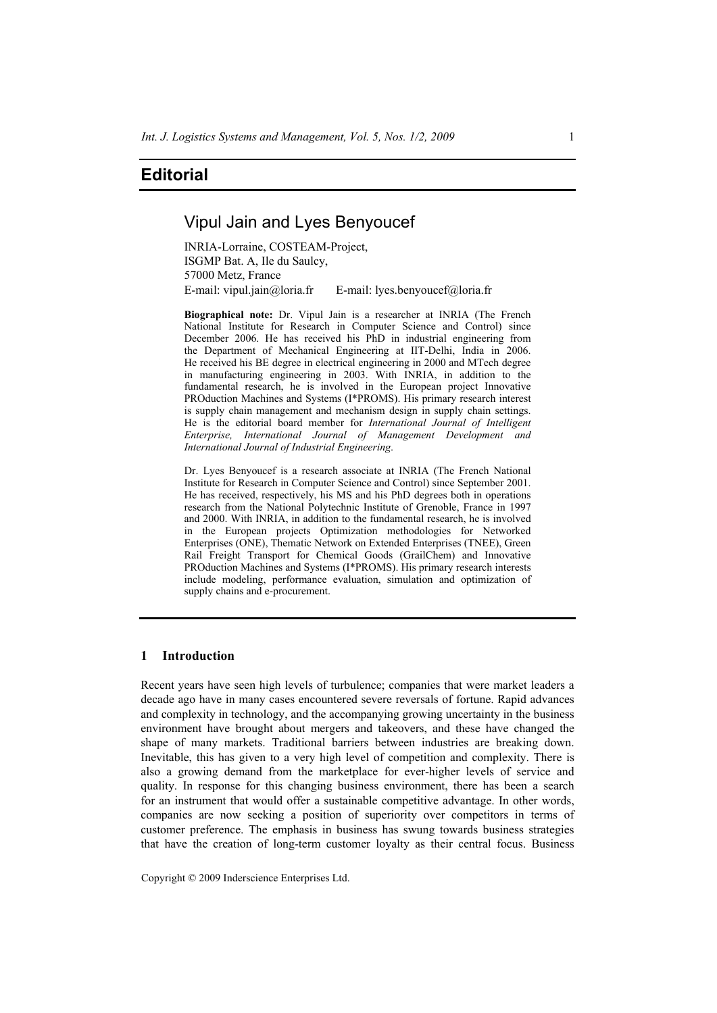# **Editorial**

# Vipul Jain and Lyes Benyoucef

INRIA-Lorraine, COSTEAM-Project, ISGMP Bat. A, Ile du Saulcy, 57000 Metz, France E-mail: vipul.jain@loria.fr E-mail: lyes.benyoucef@loria.fr

**Biographical note:** Dr. Vipul Jain is a researcher at INRIA (The French National Institute for Research in Computer Science and Control) since December 2006. He has received his PhD in industrial engineering from the Department of Mechanical Engineering at IIT-Delhi, India in 2006. He received his BE degree in electrical engineering in 2000 and MTech degree in manufacturing engineering in 2003. With INRIA, in addition to the fundamental research, he is involved in the European project Innovative PROduction Machines and Systems (I\*PROMS). His primary research interest is supply chain management and mechanism design in supply chain settings. He is the editorial board member for *International Journal of Intelligent Enterprise, International Journal of Management Development and International Journal of Industrial Engineering*.

Dr. Lyes Benyoucef is a research associate at INRIA (The French National Institute for Research in Computer Science and Control) since September 2001. He has received, respectively, his MS and his PhD degrees both in operations research from the National Polytechnic Institute of Grenoble, France in 1997 and 2000. With INRIA, in addition to the fundamental research, he is involved in the European projects Optimization methodologies for Networked Enterprises (ONE), Thematic Network on Extended Enterprises (TNEE), Green Rail Freight Transport for Chemical Goods (GrailChem) and Innovative PROduction Machines and Systems (I\*PROMS). His primary research interests include modeling, performance evaluation, simulation and optimization of supply chains and e-procurement.

# **1 Introduction**

Recent years have seen high levels of turbulence; companies that were market leaders a decade ago have in many cases encountered severe reversals of fortune. Rapid advances and complexity in technology, and the accompanying growing uncertainty in the business environment have brought about mergers and takeovers, and these have changed the shape of many markets. Traditional barriers between industries are breaking down. Inevitable, this has given to a very high level of competition and complexity. There is also a growing demand from the marketplace for ever-higher levels of service and quality. In response for this changing business environment, there has been a search for an instrument that would offer a sustainable competitive advantage. In other words, companies are now seeking a position of superiority over competitors in terms of customer preference. The emphasis in business has swung towards business strategies that have the creation of long-term customer loyalty as their central focus. Business

Copyright © 2009 Inderscience Enterprises Ltd.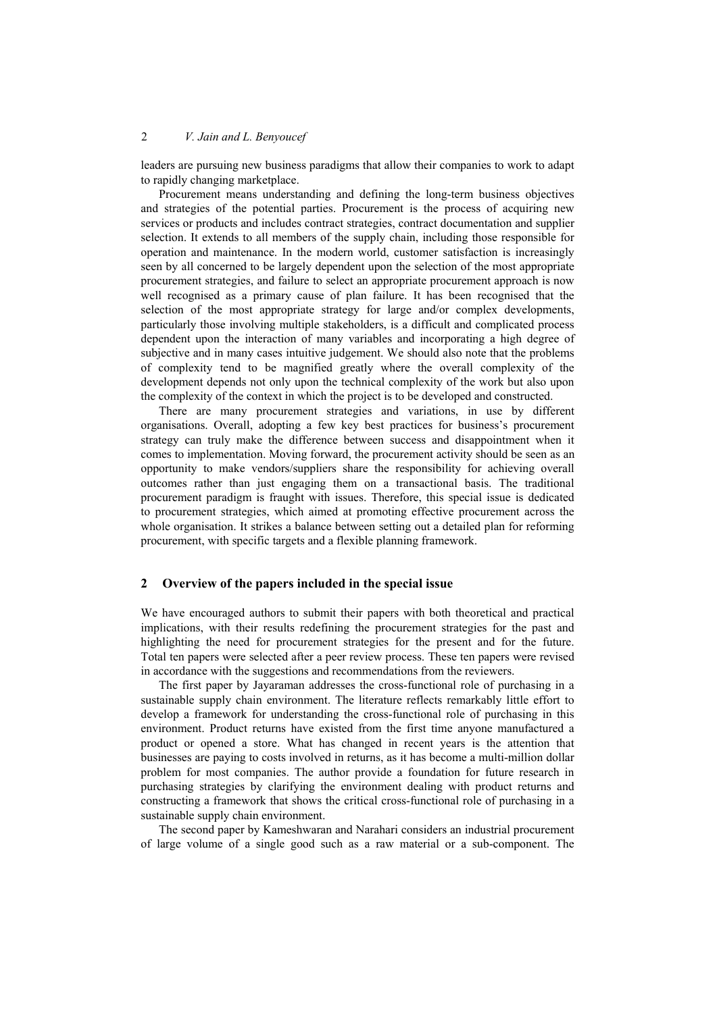# 2 *V. Jain and L. Benyoucef*

leaders are pursuing new business paradigms that allow their companies to work to adapt to rapidly changing marketplace.

Procurement means understanding and defining the long-term business objectives and strategies of the potential parties. Procurement is the process of acquiring new services or products and includes contract strategies, contract documentation and supplier selection. It extends to all members of the supply chain, including those responsible for operation and maintenance. In the modern world, customer satisfaction is increasingly seen by all concerned to be largely dependent upon the selection of the most appropriate procurement strategies, and failure to select an appropriate procurement approach is now well recognised as a primary cause of plan failure. It has been recognised that the selection of the most appropriate strategy for large and/or complex developments, particularly those involving multiple stakeholders, is a difficult and complicated process dependent upon the interaction of many variables and incorporating a high degree of subjective and in many cases intuitive judgement. We should also note that the problems of complexity tend to be magnified greatly where the overall complexity of the development depends not only upon the technical complexity of the work but also upon the complexity of the context in which the project is to be developed and constructed.

There are many procurement strategies and variations, in use by different organisations. Overall, adopting a few key best practices for business's procurement strategy can truly make the difference between success and disappointment when it comes to implementation. Moving forward, the procurement activity should be seen as an opportunity to make vendors/suppliers share the responsibility for achieving overall outcomes rather than just engaging them on a transactional basis. The traditional procurement paradigm is fraught with issues. Therefore, this special issue is dedicated to procurement strategies, which aimed at promoting effective procurement across the whole organisation. It strikes a balance between setting out a detailed plan for reforming procurement, with specific targets and a flexible planning framework.

#### **2 Overview of the papers included in the special issue**

We have encouraged authors to submit their papers with both theoretical and practical implications, with their results redefining the procurement strategies for the past and highlighting the need for procurement strategies for the present and for the future. Total ten papers were selected after a peer review process. These ten papers were revised in accordance with the suggestions and recommendations from the reviewers.

The first paper by Jayaraman addresses the cross-functional role of purchasing in a sustainable supply chain environment. The literature reflects remarkably little effort to develop a framework for understanding the cross-functional role of purchasing in this environment. Product returns have existed from the first time anyone manufactured a product or opened a store. What has changed in recent years is the attention that businesses are paying to costs involved in returns, as it has become a multi-million dollar problem for most companies. The author provide a foundation for future research in purchasing strategies by clarifying the environment dealing with product returns and constructing a framework that shows the critical cross-functional role of purchasing in a sustainable supply chain environment.

The second paper by Kameshwaran and Narahari considers an industrial procurement of large volume of a single good such as a raw material or a sub-component. The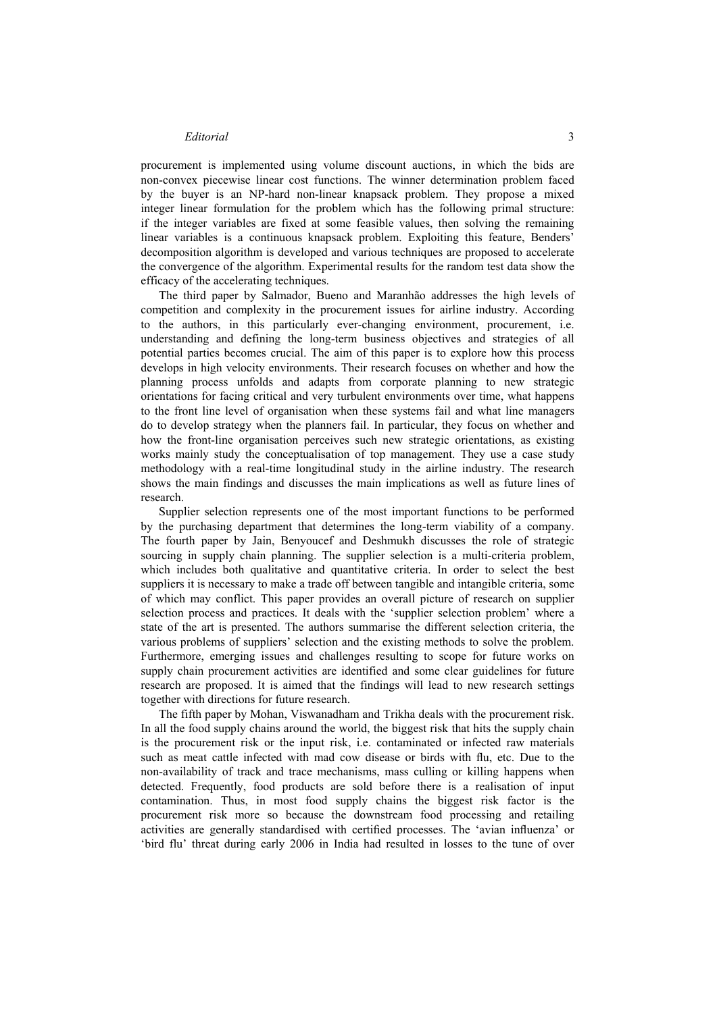#### *Editorial* 3

procurement is implemented using volume discount auctions, in which the bids are non-convex piecewise linear cost functions. The winner determination problem faced by the buyer is an NP-hard non-linear knapsack problem. They propose a mixed integer linear formulation for the problem which has the following primal structure: if the integer variables are fixed at some feasible values, then solving the remaining linear variables is a continuous knapsack problem. Exploiting this feature, Benders' decomposition algorithm is developed and various techniques are proposed to accelerate the convergence of the algorithm. Experimental results for the random test data show the efficacy of the accelerating techniques.

The third paper by Salmador, Bueno and Maranhão addresses the high levels of competition and complexity in the procurement issues for airline industry. According to the authors, in this particularly ever-changing environment, procurement, i.e. understanding and defining the long-term business objectives and strategies of all potential parties becomes crucial. The aim of this paper is to explore how this process develops in high velocity environments. Their research focuses on whether and how the planning process unfolds and adapts from corporate planning to new strategic orientations for facing critical and very turbulent environments over time, what happens to the front line level of organisation when these systems fail and what line managers do to develop strategy when the planners fail. In particular, they focus on whether and how the front-line organisation perceives such new strategic orientations, as existing works mainly study the conceptualisation of top management. They use a case study methodology with a real-time longitudinal study in the airline industry. The research shows the main findings and discusses the main implications as well as future lines of research.

Supplier selection represents one of the most important functions to be performed by the purchasing department that determines the long-term viability of a company. The fourth paper by Jain, Benyoucef and Deshmukh discusses the role of strategic sourcing in supply chain planning. The supplier selection is a multi-criteria problem, which includes both qualitative and quantitative criteria. In order to select the best suppliers it is necessary to make a trade off between tangible and intangible criteria, some of which may conflict. This paper provides an overall picture of research on supplier selection process and practices. It deals with the 'supplier selection problem' where a state of the art is presented. The authors summarise the different selection criteria, the various problems of suppliers' selection and the existing methods to solve the problem. Furthermore, emerging issues and challenges resulting to scope for future works on supply chain procurement activities are identified and some clear guidelines for future research are proposed. It is aimed that the findings will lead to new research settings together with directions for future research.

The fifth paper by Mohan, Viswanadham and Trikha deals with the procurement risk. In all the food supply chains around the world, the biggest risk that hits the supply chain is the procurement risk or the input risk, i.e. contaminated or infected raw materials such as meat cattle infected with mad cow disease or birds with flu, etc. Due to the non-availability of track and trace mechanisms, mass culling or killing happens when detected. Frequently, food products are sold before there is a realisation of input contamination. Thus, in most food supply chains the biggest risk factor is the procurement risk more so because the downstream food processing and retailing activities are generally standardised with certified processes. The 'avian influenza' or 'bird flu' threat during early 2006 in India had resulted in losses to the tune of over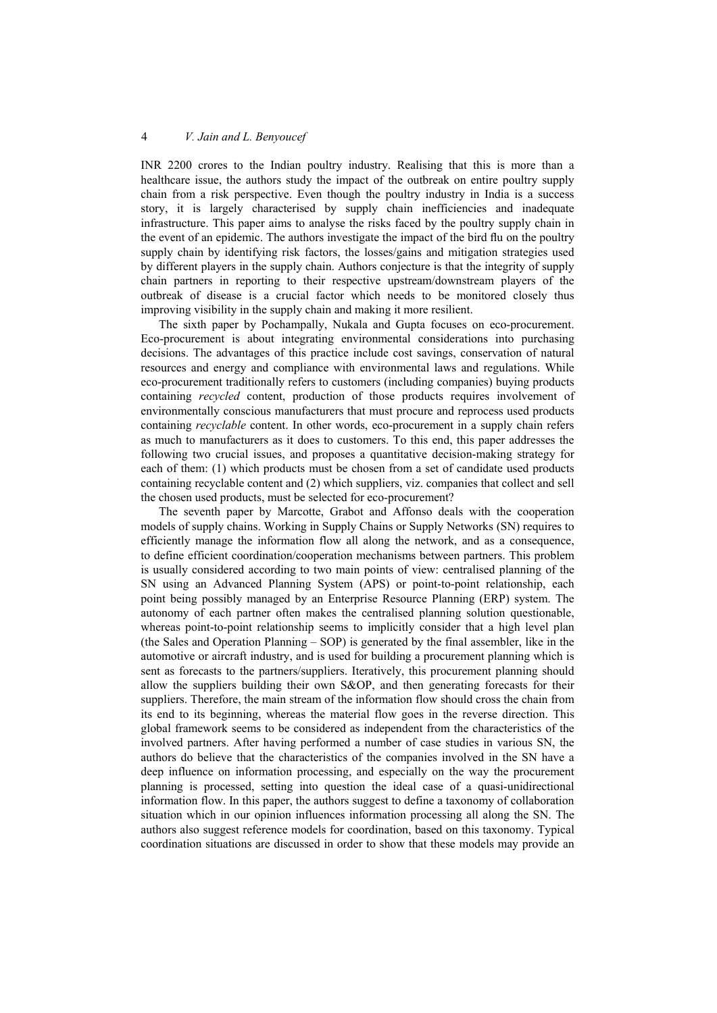# 4 *V. Jain and L. Benyoucef*

INR 2200 crores to the Indian poultry industry. Realising that this is more than a healthcare issue, the authors study the impact of the outbreak on entire poultry supply chain from a risk perspective. Even though the poultry industry in India is a success story, it is largely characterised by supply chain inefficiencies and inadequate infrastructure. This paper aims to analyse the risks faced by the poultry supply chain in the event of an epidemic. The authors investigate the impact of the bird flu on the poultry supply chain by identifying risk factors, the losses/gains and mitigation strategies used by different players in the supply chain. Authors conjecture is that the integrity of supply chain partners in reporting to their respective upstream/downstream players of the outbreak of disease is a crucial factor which needs to be monitored closely thus improving visibility in the supply chain and making it more resilient.

The sixth paper by Pochampally, Nukala and Gupta focuses on eco-procurement. Eco-procurement is about integrating environmental considerations into purchasing decisions. The advantages of this practice include cost savings, conservation of natural resources and energy and compliance with environmental laws and regulations. While eco-procurement traditionally refers to customers (including companies) buying products containing *recycled* content, production of those products requires involvement of environmentally conscious manufacturers that must procure and reprocess used products containing *recyclable* content. In other words, eco-procurement in a supply chain refers as much to manufacturers as it does to customers. To this end, this paper addresses the following two crucial issues, and proposes a quantitative decision-making strategy for each of them: (1) which products must be chosen from a set of candidate used products containing recyclable content and (2) which suppliers, viz. companies that collect and sell the chosen used products, must be selected for eco-procurement?

The seventh paper by Marcotte, Grabot and Affonso deals with the cooperation models of supply chains. Working in Supply Chains or Supply Networks (SN) requires to efficiently manage the information flow all along the network, and as a consequence, to define efficient coordination/cooperation mechanisms between partners. This problem is usually considered according to two main points of view: centralised planning of the SN using an Advanced Planning System (APS) or point-to-point relationship, each point being possibly managed by an Enterprise Resource Planning (ERP) system. The autonomy of each partner often makes the centralised planning solution questionable, whereas point-to-point relationship seems to implicitly consider that a high level plan (the Sales and Operation Planning – SOP) is generated by the final assembler, like in the automotive or aircraft industry, and is used for building a procurement planning which is sent as forecasts to the partners/suppliers. Iteratively, this procurement planning should allow the suppliers building their own S&OP, and then generating forecasts for their suppliers. Therefore, the main stream of the information flow should cross the chain from its end to its beginning, whereas the material flow goes in the reverse direction. This global framework seems to be considered as independent from the characteristics of the involved partners. After having performed a number of case studies in various SN, the authors do believe that the characteristics of the companies involved in the SN have a deep influence on information processing, and especially on the way the procurement planning is processed, setting into question the ideal case of a quasi-unidirectional information flow. In this paper, the authors suggest to define a taxonomy of collaboration situation which in our opinion influences information processing all along the SN. The authors also suggest reference models for coordination, based on this taxonomy. Typical coordination situations are discussed in order to show that these models may provide an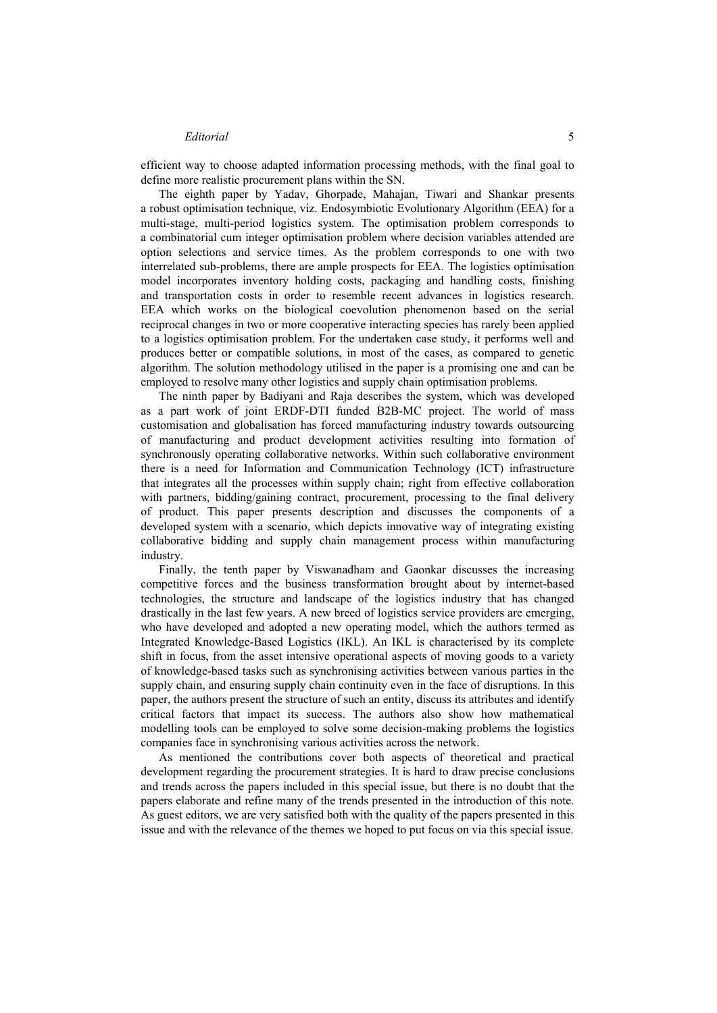#### *Editorial* 5

efficient way to choose adapted information processing methods, with the final goal to define more realistic procurement plans within the SN.

The eighth paper by Yadav, Ghorpade, Mahajan, Tiwari and Shankar presents a robust optimisation technique, viz. Endosymbiotic Evolutionary Algorithm (EEA) for a multi-stage, multi-period logistics system. The optimisation problem corresponds to a combinatorial cum integer optimisation problem where decision variables attended are option selections and service times. As the problem corresponds to one with two interrelated sub-problems, there are ample prospects for EEA. The logistics optimisation model incorporates inventory holding costs, packaging and handling costs, finishing and transportation costs in order to resemble recent advances in logistics research. EEA which works on the biological coevolution phenomenon based on the serial reciprocal changes in two or more cooperative interacting species has rarely been applied to a logistics optimisation problem. For the undertaken case study, it performs well and produces better or compatible solutions, in most of the cases, as compared to genetic algorithm. The solution methodology utilised in the paper is a promising one and can be employed to resolve many other logistics and supply chain optimisation problems.

The ninth paper by Badiyani and Raja describes the system, which was developed as a part work of joint ERDF-DTI funded B2B-MC project. The world of mass customisation and globalisation has forced manufacturing industry towards outsourcing of manufacturing and product development activities resulting into formation of synchronously operating collaborative networks. Within such collaborative environment there is a need for Information and Communication Technology (ICT) infrastructure that integrates all the processes within supply chain; right from effective collaboration with partners, bidding/gaining contract, procurement, processing to the final delivery of product. This paper presents description and discusses the components of a developed system with a scenario, which depicts innovative way of integrating existing collaborative bidding and supply chain management process within manufacturing industry.

Finally, the tenth paper by Viswanadham and Gaonkar discusses the increasing competitive forces and the business transformation brought about by internet-based technologies, the structure and landscape of the logistics industry that has changed drastically in the last few years. A new breed of logistics service providers are emerging, who have developed and adopted a new operating model, which the authors termed as Integrated Knowledge-Based Logistics (IKL). An IKL is characterised by its complete shift in focus, from the asset intensive operational aspects of moving goods to a variety of knowledge-based tasks such as synchronising activities between various parties in the supply chain, and ensuring supply chain continuity even in the face of disruptions. In this paper, the authors present the structure of such an entity, discuss its attributes and identify critical factors that impact its success. The authors also show how mathematical modelling tools can be employed to solve some decision-making problems the logistics companies face in synchronising various activities across the network.

As mentioned the contributions cover both aspects of theoretical and practical development regarding the procurement strategies. It is hard to draw precise conclusions and trends across the papers included in this special issue, but there is no doubt that the papers elaborate and refine many of the trends presented in the introduction of this note. As guest editors, we are very satisfied both with the quality of the papers presented in this issue and with the relevance of the themes we hoped to put focus on via this special issue.